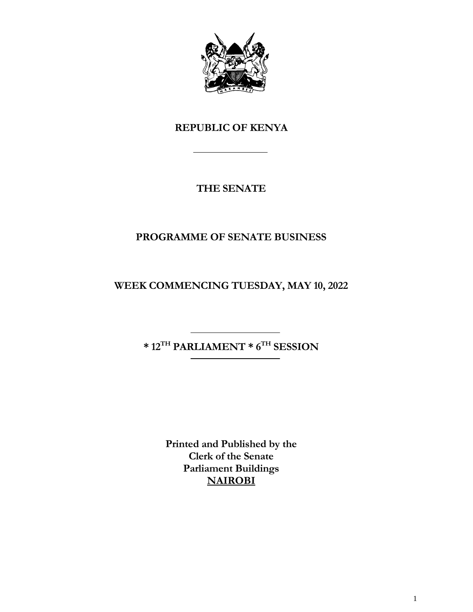

# **REPUBLIC OF KENYA**

# **THE SENATE**

# **PROGRAMME OF SENATE BUSINESS**

**WEEK COMMENCING TUESDAY, MAY 10, 2022**

**\* 12TH PARLIAMENT \* 6 TH SESSION**

**Printed and Published by the Clerk of the Senate Parliament Buildings NAIROBI**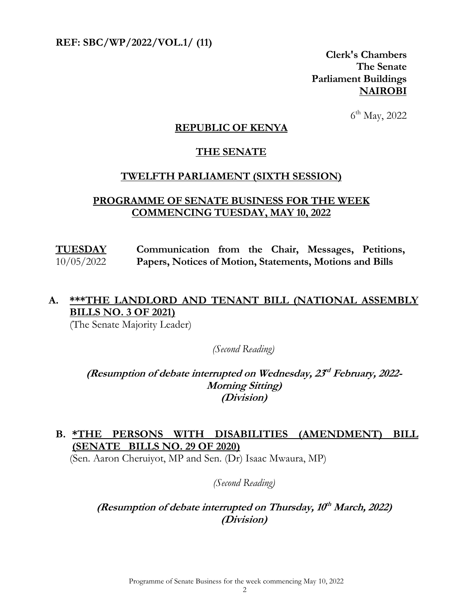**REF: SBC/WP/2022/VOL.1/ (11)** 

**Clerk's Chambers The Senate Parliament Buildings NAIROBI**

 6  $6^{\text{th}}$  May, 2022

#### **REPUBLIC OF KENYA**

#### **THE SENATE**

#### **TWELFTH PARLIAMENT (SIXTH SESSION)**

#### **PROGRAMME OF SENATE BUSINESS FOR THE WEEK COMMENCING TUESDAY, MAY 10, 2022**

**TUESDAY** 10/05/2022 **Communication from the Chair, Messages, Petitions, Papers, Notices of Motion, Statements, Motions and Bills**

## **A. \*\*\*THE LANDLORD AND TENANT BILL (NATIONAL ASSEMBLY BILLS NO. 3 OF 2021)**

(The Senate Majority Leader)

*(Second Reading)*

(Resumption of debate interrupted on Wednesday,  $23<sup>d</sup>$  February, 2022-**Morning Sitting) (Division)**

### **B. \*THE PERSONS WITH DISABILITIES (AMENDMENT) BILL (SENATE BILLS NO. 29 OF 2020)**

(Sen. Aaron Cheruiyot, MP and Sen. (Dr) Isaac Mwaura, MP)

*(Second Reading)*

### **(Resumption of debate interrupted on Thursday, 10 th March, 2022) (Division)**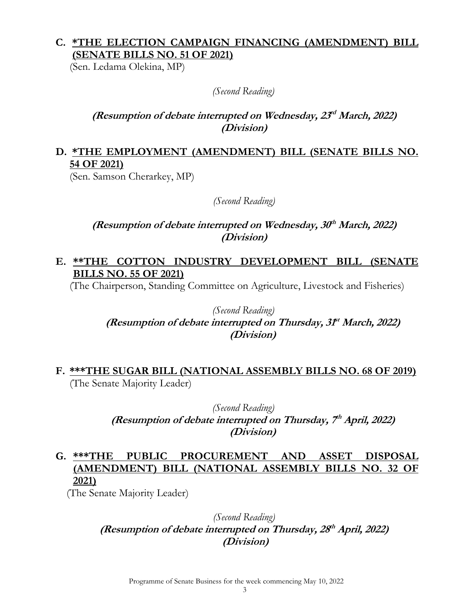# **C. \*THE ELECTION CAMPAIGN FINANCING (AMENDMENT) BILL (SENATE BILLS NO. 51 OF 2021)**

(Sen. Ledama Olekina, MP)

*(Second Reading)*

### **(Resumption of debate interrupted on Wednesday, 23 rd March, 2022) (Division)**

# **D. \*THE EMPLOYMENT (AMENDMENT) BILL (SENATE BILLS NO. 54 OF 2021)**

(Sen. Samson Cherarkey, MP)

*(Second Reading)*

### **(Resumption of debate interrupted on Wednesday, 30 th March, 2022) (Division)**

## **E. \*\*THE COTTON INDUSTRY DEVELOPMENT BILL (SENATE BILLS NO. 55 OF 2021)**

(The Chairperson, Standing Committee on Agriculture, Livestock and Fisheries)

### *(Second Reading)* (Resumption of debate interrupted on Thursday, 3ft<sup>t</sup> March, 2022) **(Division)**

## **F. \*\*\*THE SUGAR BILL (NATIONAL ASSEMBLY BILLS NO. 68 OF 2019)** (The Senate Majority Leader)

*(Second Reading)* (Resumption of debate interrupted on Thursday, 7<sup>th</sup> April, 2022) **(Division)**

# **G. \*\*\*THE PUBLIC PROCUREMENT AND ASSET DISPOSAL (AMENDMENT) BILL (NATIONAL ASSEMBLY BILLS NO. 32 OF 2021)**

(The Senate Majority Leader)

#### *(Second Reading)* **(Resumption of debate interrupted on Thursday, 28 th April, 2022) (Division)**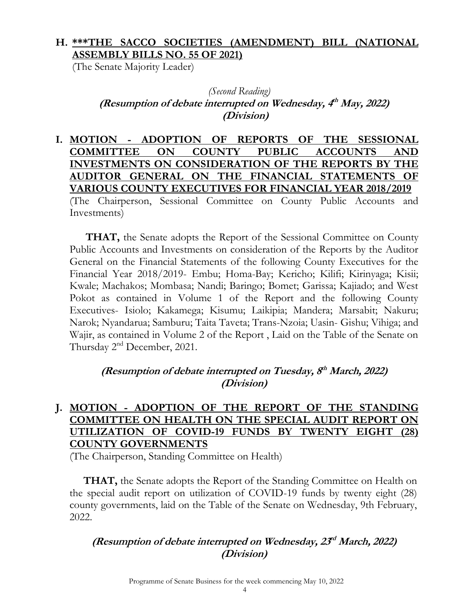# **H. \*\*\*THE SACCO SOCIETIES (AMENDMENT) BILL (NATIONAL ASSEMBLY BILLS NO. 55 OF 2021)**

(The Senate Majority Leader)

## *(Second Reading)* (Resumption of debate interrupted on Wednesday, 4<sup>th</sup> May, 2022) **(Division)**

**I. MOTION - ADOPTION OF REPORTS OF THE SESSIONAL COMMITTEE ON COUNTY PUBLIC ACCOUNTS AND INVESTMENTS ON CONSIDERATION OF THE REPORTS BY THE AUDITOR GENERAL ON THE FINANCIAL STATEMENTS OF VARIOUS COUNTY EXECUTIVES FOR FINANCIAL YEAR 2018/2019** (The Chairperson, Sessional Committee on County Public Accounts and Investments)

**THAT,** the Senate adopts the Report of the Sessional Committee on County Public Accounts and Investments on consideration of the Reports by the Auditor General on the Financial Statements of the following County Executives for the Financial Year 2018/2019- Embu; Homa-Bay; Kericho; Kilifi; Kirinyaga; Kisii; Kwale; Machakos; Mombasa; Nandi; Baringo; Bomet; Garissa; Kajiado; and West Pokot as contained in Volume 1 of the Report and the following County Executives- Isiolo; Kakamega; Kisumu; Laikipia; Mandera; Marsabit; Nakuru; Narok; Nyandarua; Samburu; Taita Taveta; Trans-Nzoia; Uasin- Gishu; Vihiga; and Wajir, as contained in Volume 2 of the Report , Laid on the Table of the Senate on Thursday 2<sup>nd</sup> December, 2021.

## **(Resumption of debate interrupted on Tuesday, 8 th March, 2022) (Division)**

# **J. MOTION - ADOPTION OF THE REPORT OF THE STANDING COMMITTEE ON HEALTH ON THE SPECIAL AUDIT REPORT ON UTILIZATION OF COVID-19 FUNDS BY TWENTY EIGHT (28) COUNTY GOVERNMENTS**

(The Chairperson, Standing Committee on Health)

**THAT,** the Senate adopts the Report of the Standing Committee on Health on the special audit report on utilization of COVID-19 funds by twenty eight (28) county governments, laid on the Table of the Senate on Wednesday, 9th February, 2022.

# **(Resumption of debate interrupted on Wednesday, 23 rd March, 2022) (Division)**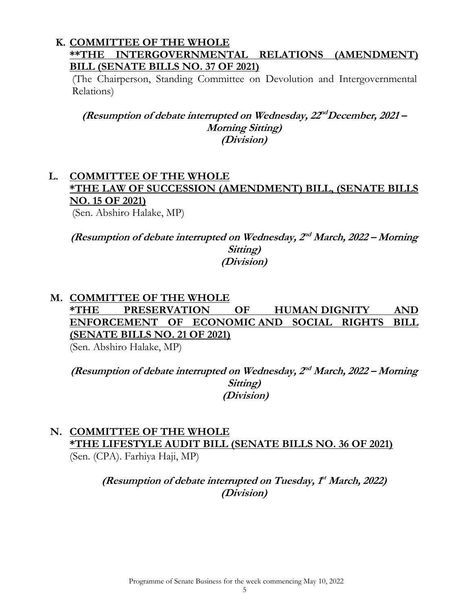#### **K. COMMITTEE OF THE WHOLE \*\*THE INTERGOVERNMENTAL RELATIONS (AMENDMENT) BILL (SENATE BILLS NO. 37 OF 2021)**

(The Chairperson, Standing Committee on Devolution and Intergovernmental Relations)

(Resumption of debate interrupted on Wednesday,  $22^{nd}$ December, 2021 – **Morning Sitting) (Division)**

#### **L. COMMITTEE OF THE WHOLE \*THE LAW OF SUCCESSION (AMENDMENT) BILL, (SENATE BILLS NO. 15 OF 2021)** (Sen. Abshiro Halake, MP)

(Resumption of debate interrupted on Wednesday,  $2^{nd}$  March, 2022 – Morning **Sitting) (Division)**

### **M. COMMITTEE OF THE WHOLE \*THE PRESERVATION OF HUMAN DIGNITY AND ENFORCEMENT OF ECONOMIC AND SOCIAL RIGHTS BILL (SENATE BILLS NO. 21 OF 2021)**  (Sen. Abshiro Halake, MP)

(Resumption of debate interrupted on Wednesday,  $2^{nd}$  March, 2022 – Morning **Sitting) (Division)**

# **N. COMMITTEE OF THE WHOLE \*THE LIFESTYLE AUDIT BILL (SENATE BILLS NO. 36 OF 2021)**

(Sen. (CPA). Farhiya Haji, MP)

(Resumption of debate interrupted on Tuesday,  $f<sup>t</sup>$  March, 2022) **(Division)**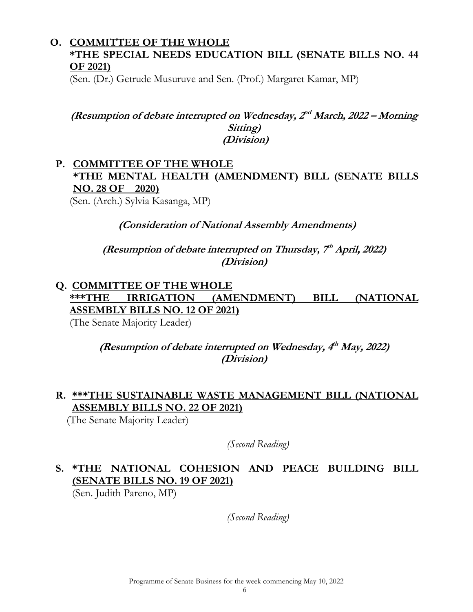## **O. COMMITTEE OF THE WHOLE \*THE SPECIAL NEEDS EDUCATION BILL (SENATE BILLS NO. 44 OF 2021)**

(Sen. (Dr.) Getrude Musuruve and Sen. (Prof.) Margaret Kamar, MP)

#### (Resumption of debate interrupted on Wednesday,  $2^{nd}$  March, 2022 – Morning **Sitting) (Division)**

# **P. COMMITTEE OF THE WHOLE \*THE MENTAL HEALTH (AMENDMENT) BILL (SENATE BILLS NO. 28 OF 2020)**

(Sen. (Arch.) Sylvia Kasanga, MP)

**(Consideration of National Assembly Amendments)**

(Resumption of debate interrupted on Thursday, 7<sup>th</sup> April, 2022) **(Division)**

# **Q. COMMITTEE OF THE WHOLE \*\*\*THE IRRIGATION (AMENDMENT) BILL (NATIONAL ASSEMBLY BILLS NO. 12 OF 2021)**

(The Senate Majority Leader)

(Resumption of debate interrupted on Wednesday, 4<sup>th</sup> May, 2022) **(Division)**

# **R. \*\*\*THE SUSTAINABLE WASTE MANAGEMENT BILL (NATIONAL ASSEMBLY BILLS NO. 22 OF 2021)**

(The Senate Majority Leader)

*(Second Reading)*

# **S. \*THE NATIONAL COHESION AND PEACE BUILDING BILL (SENATE BILLS NO. 19 OF 2021)**

(Sen. Judith Pareno, MP)

*(Second Reading)*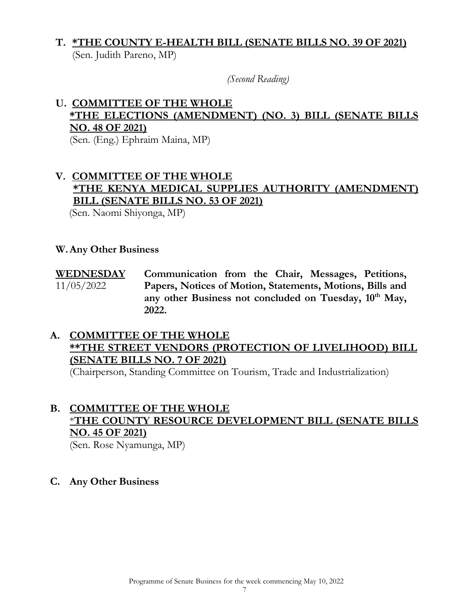## **T. \*THE COUNTY E-HEALTH BILL (SENATE BILLS NO. 39 OF 2021)**  (Sen. Judith Pareno, MP)

*(Second Reading)*

# **U. COMMITTEE OF THE WHOLE \*THE ELECTIONS (AMENDMENT) (NO. 3) BILL (SENATE BILLS NO. 48 OF 2021)**

(Sen. (Eng.) Ephraim Maina, MP)

## **V. COMMITTEE OF THE WHOLE \*THE KENYA MEDICAL SUPPLIES AUTHORITY (AMENDMENT) BILL (SENATE BILLS NO. 53 OF 2021)**

(Sen. Naomi Shiyonga, MP)

#### **W.Any Other Business**

**WEDNESDAY**  11/05/2022 **Communication from the Chair, Messages, Petitions, Papers, Notices of Motion, Statements, Motions, Bills and any other Business not concluded on Tuesday, 10th May, 2022.** 

## **A. COMMITTEE OF THE WHOLE \*\*THE STREET VENDORS (PROTECTION OF LIVELIHOOD) BILL (SENATE BILLS NO. 7 OF 2021)**

(Chairperson, Standing Committee on Tourism, Trade and Industrialization)

#### **B. COMMITTEE OF THE WHOLE** \***THE COUNTY RESOURCE DEVELOPMENT BILL (SENATE BILLS NO. 45 OF 2021)** (Sen. Rose Nyamunga, MP)

**C. Any Other Business**